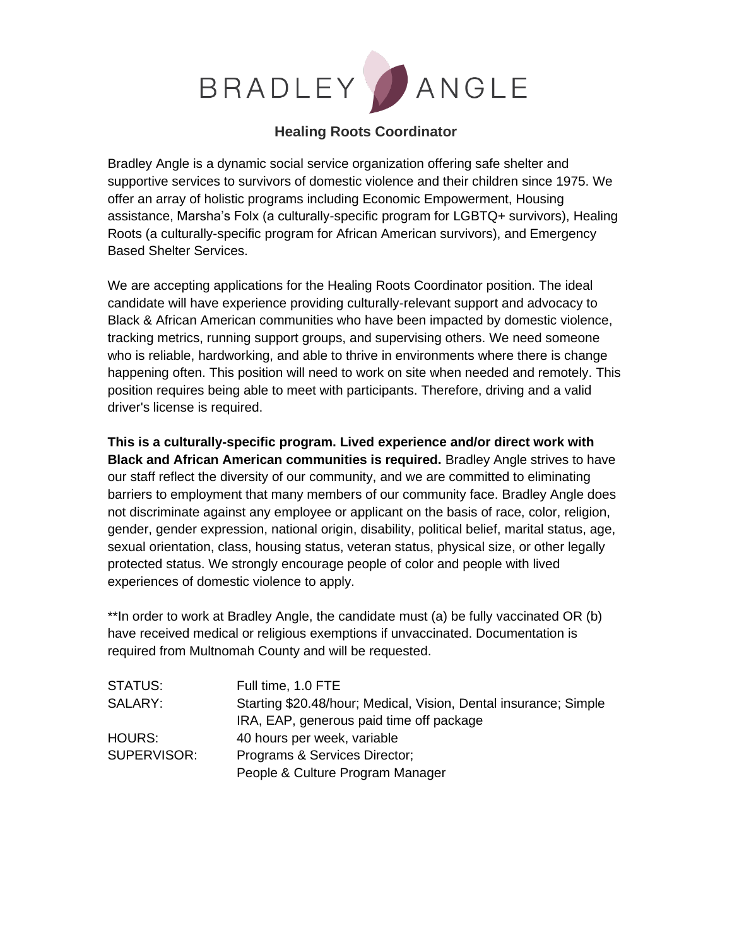

# **Healing Roots Coordinator**

Bradley Angle is a dynamic social service organization offering safe shelter and supportive services to survivors of domestic violence and their children since 1975. We offer an array of holistic programs including Economic Empowerment, Housing assistance, Marsha's Folx (a culturally-specific program for LGBTQ+ survivors), Healing Roots (a culturally-specific program for African American survivors), and Emergency Based Shelter Services.

We are accepting applications for the Healing Roots Coordinator position. The ideal candidate will have experience providing culturally-relevant support and advocacy to Black & African American communities who have been impacted by domestic violence, tracking metrics, running support groups, and supervising others. We need someone who is reliable, hardworking, and able to thrive in environments where there is change happening often. This position will need to work on site when needed and remotely. This position requires being able to meet with participants. Therefore, driving and a valid driver's license is required.

**This is a culturally-specific program. Lived experience and/or direct work with Black and African American communities is required.** Bradley Angle strives to have our staff reflect the diversity of our community, and we are committed to eliminating barriers to employment that many members of our community face. Bradley Angle does not discriminate against any employee or applicant on the basis of race, color, religion, gender, gender expression, national origin, disability, political belief, marital status, age, sexual orientation, class, housing status, veteran status, physical size, or other legally protected status. We strongly encourage people of color and people with lived experiences of domestic violence to apply.

\*\*In order to work at Bradley Angle, the candidate must (a) be fully vaccinated OR (b) have received medical or religious exemptions if unvaccinated. Documentation is required from Multnomah County and will be requested.

| <b>STATUS:</b> | Full time, 1.0 FTE                                               |
|----------------|------------------------------------------------------------------|
| SALARY:        | Starting \$20.48/hour; Medical, Vision, Dental insurance; Simple |
|                | IRA, EAP, generous paid time off package                         |
| <b>HOURS:</b>  | 40 hours per week, variable                                      |
| SUPERVISOR:    | Programs & Services Director;                                    |
|                | People & Culture Program Manager                                 |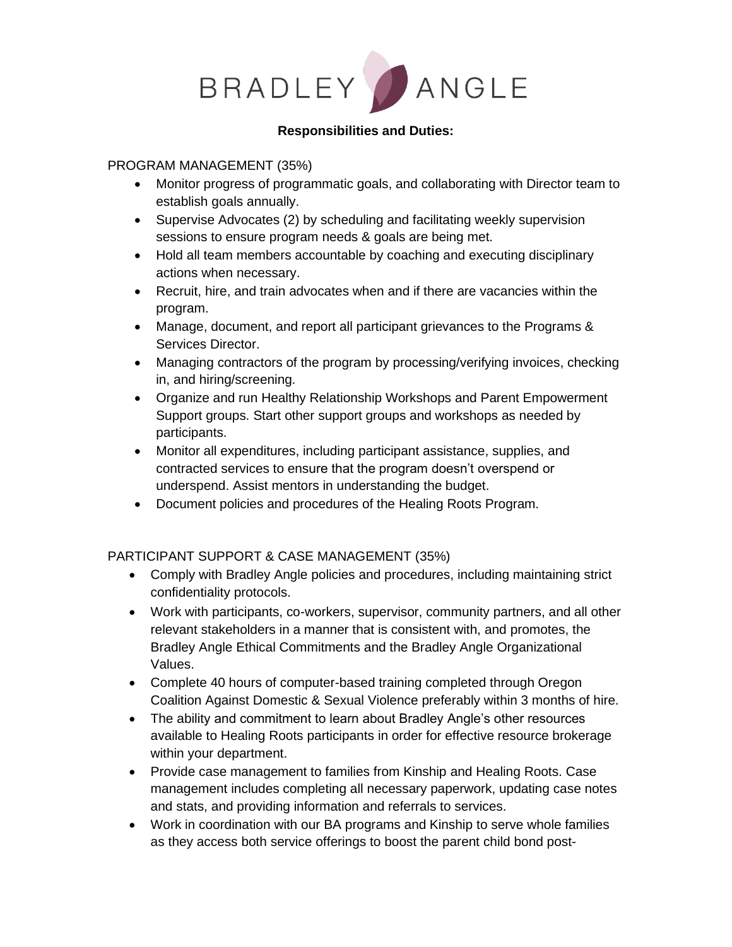

#### **Responsibilities and Duties:**

#### PROGRAM MANAGEMENT (35%)

- Monitor progress of programmatic goals, and collaborating with Director team to establish goals annually.
- Supervise Advocates (2) by scheduling and facilitating weekly supervision sessions to ensure program needs & goals are being met.
- Hold all team members accountable by coaching and executing disciplinary actions when necessary.
- Recruit, hire, and train advocates when and if there are vacancies within the program.
- Manage, document, and report all participant grievances to the Programs & Services Director.
- Managing contractors of the program by processing/verifying invoices, checking in, and hiring/screening.
- Organize and run Healthy Relationship Workshops and Parent Empowerment Support groups. Start other support groups and workshops as needed by participants.
- Monitor all expenditures, including participant assistance, supplies, and contracted services to ensure that the program doesn't overspend or underspend. Assist mentors in understanding the budget.
- Document policies and procedures of the Healing Roots Program.

## PARTICIPANT SUPPORT & CASE MANAGEMENT (35%)

- Comply with Bradley Angle policies and procedures, including maintaining strict confidentiality protocols.
- Work with participants, co-workers, supervisor, community partners, and all other relevant stakeholders in a manner that is consistent with, and promotes, the Bradley Angle Ethical Commitments and the Bradley Angle Organizational Values.
- Complete 40 hours of computer-based training completed through Oregon Coalition Against Domestic & Sexual Violence preferably within 3 months of hire.
- The ability and commitment to learn about Bradley Angle's other resources available to Healing Roots participants in order for effective resource brokerage within your department.
- Provide case management to families from Kinship and Healing Roots. Case management includes completing all necessary paperwork, updating case notes and stats, and providing information and referrals to services.
- Work in coordination with our BA programs and Kinship to serve whole families as they access both service offerings to boost the parent child bond post-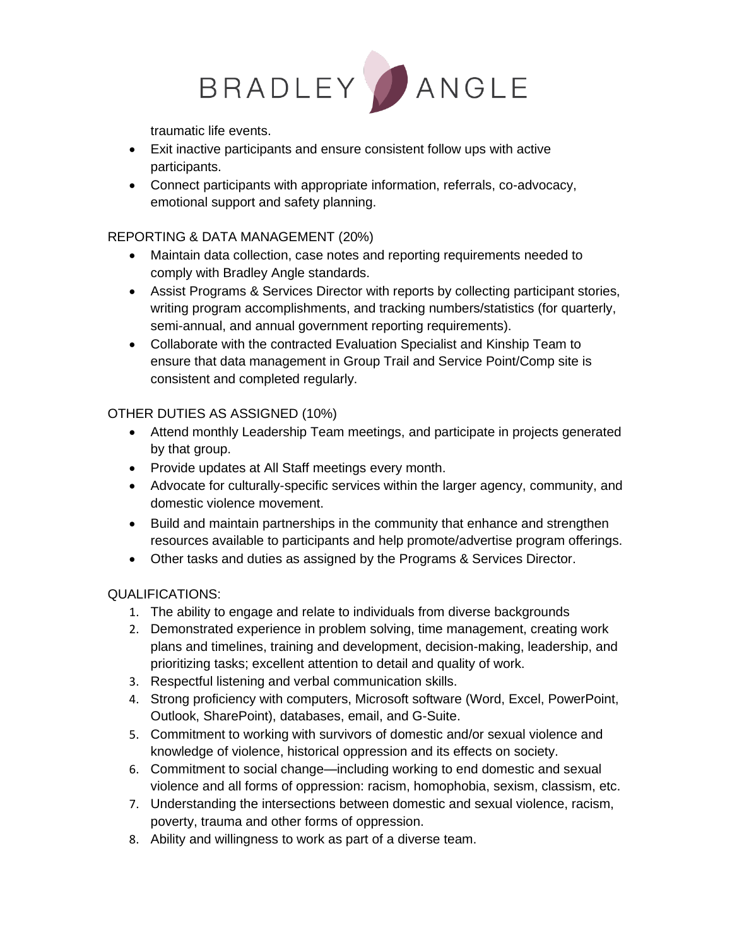

traumatic life events.

- Exit inactive participants and ensure consistent follow ups with active participants.
- Connect participants with appropriate information, referrals, co-advocacy, emotional support and safety planning.

### REPORTING & DATA MANAGEMENT (20%)

- Maintain data collection, case notes and reporting requirements needed to comply with Bradley Angle standards.
- Assist Programs & Services Director with reports by collecting participant stories, writing program accomplishments, and tracking numbers/statistics (for quarterly, semi-annual, and annual government reporting requirements).
- Collaborate with the contracted Evaluation Specialist and Kinship Team to ensure that data management in Group Trail and Service Point/Comp site is consistent and completed regularly.

## OTHER DUTIES AS ASSIGNED (10%)

- Attend monthly Leadership Team meetings, and participate in projects generated by that group.
- Provide updates at All Staff meetings every month.
- Advocate for culturally-specific services within the larger agency, community, and domestic violence movement.
- Build and maintain partnerships in the community that enhance and strengthen resources available to participants and help promote/advertise program offerings.
- Other tasks and duties as assigned by the Programs & Services Director.

## QUALIFICATIONS:

- 1. The ability to engage and relate to individuals from diverse backgrounds
- 2. Demonstrated experience in problem solving, time management, creating work plans and timelines, training and development, decision-making, leadership, and prioritizing tasks; excellent attention to detail and quality of work.
- 3. Respectful listening and verbal communication skills.
- 4. Strong proficiency with computers, Microsoft software (Word, Excel, PowerPoint, Outlook, SharePoint), databases, email, and G-Suite.
- 5. Commitment to working with survivors of domestic and/or sexual violence and knowledge of violence, historical oppression and its effects on society.
- 6. Commitment to social change—including working to end domestic and sexual violence and all forms of oppression: racism, homophobia, sexism, classism, etc.
- 7. Understanding the intersections between domestic and sexual violence, racism, poverty, trauma and other forms of oppression.
- 8. Ability and willingness to work as part of a diverse team.